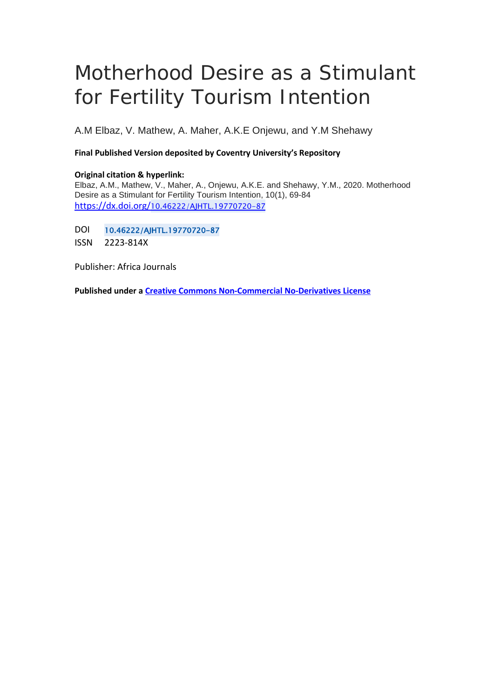# Motherhood Desire as a Stimulant for Fertility Tourism Intention

A.M Elbaz, V. Mathew, A. Maher, A.K.E Onjewu, and Y.M Shehawy

## **Final Published Version deposited by Coventry University's Repository**

#### **Original citation & hyperlink:**

Elbaz, A.M., Mathew, V., Maher, A., Onjewu, A.K.E. and Shehawy, Y.M., 2020. Motherhood Desire as a Stimulant for Fertility Tourism Intention, 10(1), 69-84 https://dx.doi.org/[10.46222/AJHTL.19770720-87](https://dx.doi.org/10.46222/AJHTL.19770720-87) 

DOI 10.46222/AJHTL.19770720-87

ISSN 2223-814X

Publisher: Africa Journals

**Published under a [Creative Commons Non-Commercial No-Derivatives License](https://creativecommons.org/licenses/by-nc-nd/4.0/)**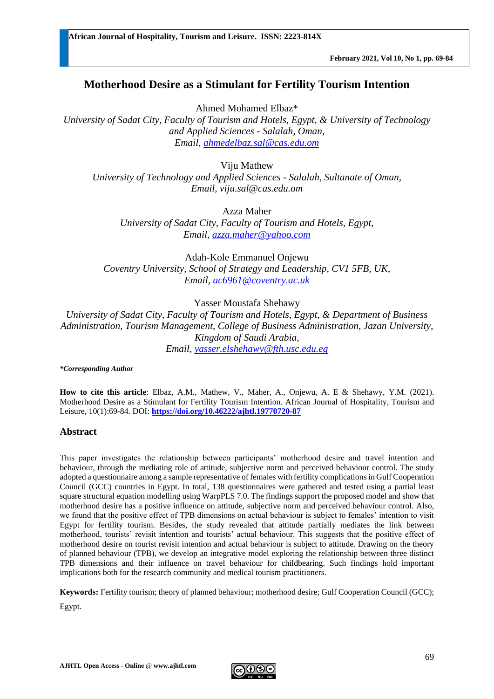# **Motherhood Desire as a Stimulant for Fertility Tourism Intention**

Ahmed Mohamed Elbaz\*

*University of Sadat City, Faculty of Tourism and Hotels, Egypt, & University of Technology and Applied Sciences - Salalah, Oman, Email, [ahmedelbaz.sal@cas.edu.om](mailto:ahmedelbaz.sal@cas.edu.om)* 

Viju Mathew *University of Technology and Applied Sciences - Salalah, Sultanate of Oman, Email, [viju.sal@cas.edu.om](mailto:viju.sal@cas.edu.om)*

Azza Maher

*University of Sadat City, Faculty of Tourism and Hotels, Egypt, Email, [azza.maher@yahoo.com](mailto:azza.maher@yahoo.com)*

[Adah-Kole Emmanuel Onjewu](https://www.sciencedirect.com/science/article/abs/pii/S0160738319300611#!) *Coventry University, School of Strategy and Leadership, CV1 5FB, UK, Email, [ac6961@coventry.ac.uk](mailto:ac6961@coventry.ac.uk)*

## Yasser Moustafa Shehawy

*University of Sadat City, Faculty of Tourism and Hotels, Egypt, & Department of Business Administration, Tourism Management, College of Business Administration, Jazan University, Kingdom of Saudi Arabia, Email, [yasser.elshehawy@fth.usc.edu.eg](mailto:yasser.elshehawy@fth.usc.edu.eg)*

*\*Corresponding Author*

**How to cite this article**: Elbaz, A.M., Mathew, V., Maher, A., Onjewu, A. E & Shehawy, Y.M. (2021). Motherhood Desire as a Stimulant for Fertility Tourism Intention. African Journal of Hospitality, Tourism and Leisure, 10(1):69-84. DOI: **<https://doi.org/10.46222/ajhtl.19770720-87>**

#### **Abstract**

This paper investigates the relationship between participants' motherhood desire and travel intention and behaviour, through the mediating role of attitude, subjective norm and perceived behaviour control. The study adopted a questionnaire among a sample representative of females with fertility complications in Gulf Cooperation Council (GCC) countries in Egypt. In total, 138 questionnaires were gathered and tested using a partial least square structural equation modelling using WarpPLS 7.0. The findings support the proposed model and show that motherhood desire has a positive influence on attitude, subjective norm and perceived behaviour control. Also, we found that the positive effect of TPB dimensions on actual behaviour is subject to females' intention to visit Egypt for fertility tourism. Besides, the study revealed that attitude partially mediates the link between motherhood, tourists' revisit intention and tourists' actual behaviour. This suggests that the positive effect of motherhood desire on tourist revisit intention and actual behaviour is subject to attitude. Drawing on the theory of planned behaviour (TPB), we develop an integrative model exploring the relationship between three distinct TPB dimensions and their influence on travel behaviour for childbearing. Such findings hold important implications both for the research community and medical tourism practitioners.

**Keywords:** Fertility tourism; theory of planned behaviour; motherhood desire; Gulf Cooperation Council (GCC);

Egypt.

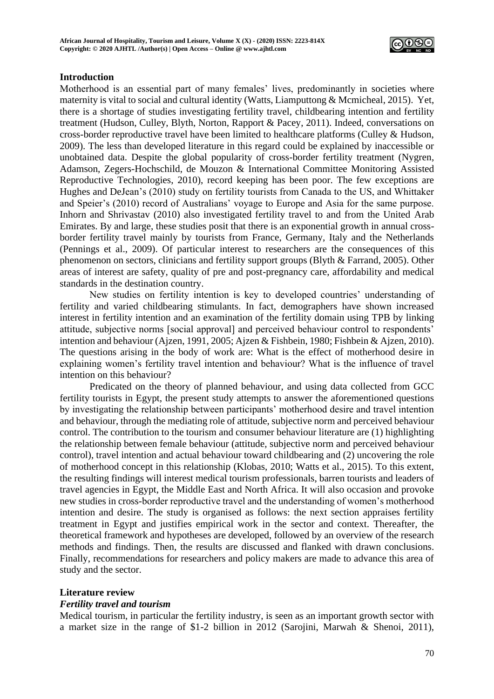

## **Introduction**

Motherhood is an essential part of many females' lives, predominantly in societies where maternity is vital to social and cultural identity (Watts, Liamputtong & Mcmicheal, 2015). Yet, there is a shortage of studies investigating fertility travel, childbearing intention and fertility treatment (Hudson, Culley, Blyth, Norton, Rapport & Pacey, 2011). Indeed, conversations on cross-border reproductive travel have been limited to healthcare platforms (Culley & Hudson, 2009). The less than developed literature in this regard could be explained by inaccessible or unobtained data. Despite the global popularity of cross-border fertility treatment (Nygren, Adamson, Zegers-Hochschild, de Mouzon & International Committee Monitoring Assisted Reproductive Technologies, 2010), record keeping has been poor. The few exceptions are Hughes and DeJean's (2010) study on fertility tourists from Canada to the US, and Whittaker and Speier's (2010) record of Australians' voyage to Europe and Asia for the same purpose. Inhorn and Shrivastav (2010) also investigated fertility travel to and from the United Arab Emirates. By and large, these studies posit that there is an exponential growth in annual crossborder fertility travel mainly by tourists from France, Germany, Italy and the Netherlands (Pennings et al., 2009). Of particular interest to researchers are the consequences of this phenomenon on sectors, clinicians and fertility support groups (Blyth & Farrand, 2005). Other areas of interest are safety, quality of pre and post-pregnancy care, affordability and medical standards in the destination country.

New studies on fertility intention is key to developed countries' understanding of fertility and varied childbearing stimulants. In fact, demographers have shown increased interest in fertility intention and an examination of the fertility domain using TPB by linking attitude, subjective norms [social approval] and perceived behaviour control to respondents' intention and behaviour (Ajzen, 1991, 2005; Ajzen & Fishbein, 1980; Fishbein & Ajzen, 2010). The questions arising in the body of work are: What is the effect of motherhood desire in explaining women's fertility travel intention and behaviour? What is the influence of travel intention on this behaviour?

Predicated on the theory of planned behaviour, and using data collected from GCC fertility tourists in Egypt, the present study attempts to answer the aforementioned questions by investigating the relationship between participants' motherhood desire and travel intention and behaviour, through the mediating role of attitude, subjective norm and perceived behaviour control. The contribution to the tourism and consumer behaviour literature are (1) highlighting the relationship between female behaviour (attitude, subjective norm and perceived behaviour control), travel intention and actual behaviour toward childbearing and (2) uncovering the role of motherhood concept in this relationship (Klobas, 2010; Watts et al., 2015). To this extent, the resulting findings will interest medical tourism professionals, barren tourists and leaders of travel agencies in Egypt, the Middle East and North Africa. It will also occasion and provoke new studies in cross-border reproductive travel and the understanding of women's motherhood intention and desire. The study is organised as follows: the next section appraises fertility treatment in Egypt and justifies empirical work in the sector and context. Thereafter, the theoretical framework and hypotheses are developed, followed by an overview of the research methods and findings. Then, the results are discussed and flanked with drawn conclusions. Finally, recommendations for researchers and policy makers are made to advance this area of study and the sector.

#### **Literature review**

#### *Fertility travel and tourism*

Medical tourism, in particular the fertility industry, is seen as an important growth sector with a market size in the range of \$1-2 billion in 2012 (Sarojini, Marwah & Shenoi, 2011),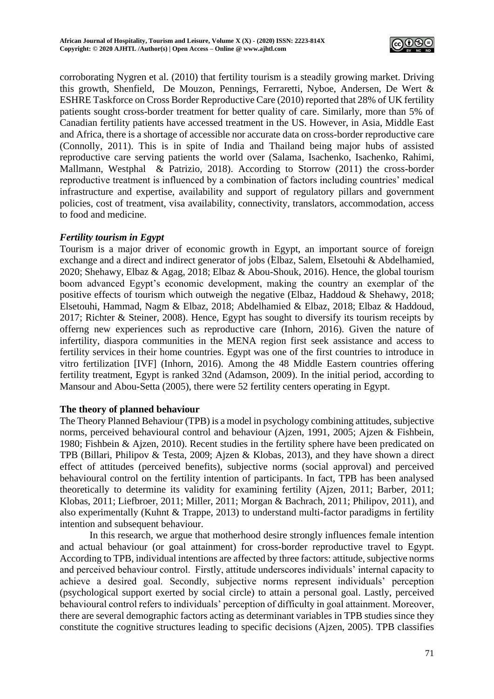

corroborating Nygren et al. (2010) that fertility tourism is a steadily growing market. Driving this growth, Shenfield, De Mouzon, Pennings, Ferraretti, Nyboe, Andersen, De Wert & ESHRE Taskforce on Cross Border Reproductive Care (2010) reported that 28% of UK fertility patients sought cross-border treatment for better quality of care. Similarly, more than 5% of Canadian fertility patients have accessed treatment in the US. However, in Asia, Middle East and Africa, there is a shortage of accessible nor accurate data on cross-border reproductive care (Connolly, 2011). This is in spite of India and Thailand being major hubs of assisted reproductive care serving patients the world over (Salama, Isachenko, Isachenko, Rahimi, Mallmann, Westphal & Patrizio, 2018). According to Storrow (2011) the cross-border reproductive treatment is influenced by a combination of factors including countries' medical infrastructure and expertise, availability and support of regulatory pillars and government policies, cost of treatment, visa availability, connectivity, translators, accommodation, access to food and medicine.

## *Fertility tourism in Egypt*

Tourism is a major driver of economic growth in Egypt, an important source of foreign exchange and a direct and indirect generator of jobs (Elbaz, Salem, Elsetouhi & Abdelhamied, 2020; Shehawy, Elbaz & Agag, 2018; Elbaz & Abou-Shouk, 2016). Hence, the global tourism boom advanced Egypt's economic development, making the country an exemplar of the positive effects of tourism which outweigh the negative (Elbaz, Haddoud & Shehawy, 2018; Elsetouhi, Hammad, Nagm & Elbaz, 2018; Abdelhamied & Elbaz, 2018; Elbaz & Haddoud, 2017; Richter & Steiner, 2008). Hence, Egypt has sought to diversify its tourism receipts by offerng new experiences such as reproductive care (Inhorn, 2016). Given the nature of infertility, diaspora communities in the MENA region first seek assistance and access to fertility services in their home countries. Egypt was one of the first countries to introduce in vitro fertilization [IVF] (Inhorn, 2016). Among the 48 Middle Eastern countries offering fertility treatment, Egypt is ranked 32nd (Adamson, 2009). In the initial period, according to Mansour and Abou-Setta (2005), there were 52 fertility centers operating in Egypt.

## **The theory of planned behaviour**

The Theory Planned Behaviour (TPB) is a model in psychology combining attitudes, subjective norms, perceived behavioural control and behaviour (Ajzen, 1991, 2005; Ajzen & Fishbein, 1980; Fishbein & Ajzen, 2010). Recent studies in the fertility sphere have been predicated on TPB (Billari, Philipov & Testa, 2009; Ajzen & Klobas, 2013), and they have shown a direct effect of attitudes (perceived benefits), subjective norms (social approval) and perceived behavioural control on the fertility intention of participants. In fact, TPB has been analysed theoretically to determine its validity for examining fertility (Ajzen, 2011; Barber, 2011; Klobas, 2011; Liefbroer, 2011; Miller, 2011; Morgan & Bachrach, 2011; Philipov, 2011), and also experimentally (Kuhnt & Trappe, 2013) to understand multi-factor paradigms in fertility intention and subsequent behaviour.

In this research, we argue that motherhood desire strongly influences female intention and actual behaviour (or goal attainment) for cross-border reproductive travel to Egypt. According to TPB, individual intentions are affected by three factors: attitude, subjective norms and perceived behaviour control. Firstly, attitude underscores individuals' internal capacity to achieve a desired goal. Secondly, subjective norms represent individuals' perception (psychological support exerted by social circle) to attain a personal goal. Lastly, perceived behavioural control refers to individuals' perception of difficulty in goal attainment. Moreover, there are several demographic factors acting as determinant variables in TPB studies since they constitute the cognitive structures leading to specific decisions (Ajzen, 2005). TPB classifies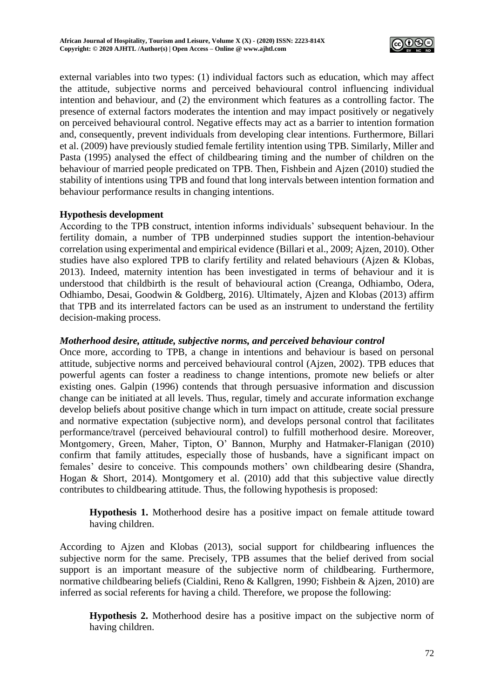

external variables into two types: (1) individual factors such as education, which may affect the attitude, subjective norms and perceived behavioural control influencing individual intention and behaviour, and (2) the environment which features as a controlling factor. The presence of external factors moderates the intention and may impact positively or negatively on perceived behavioural control. Negative effects may act as a barrier to intention formation and, consequently, prevent individuals from developing clear intentions. Furthermore, Billari et al. (2009) have previously studied female fertility intention using TPB. Similarly, Miller and Pasta (1995) analysed the effect of childbearing timing and the number of children on the behaviour of married people predicated on TPB. Then, Fishbein and Ajzen (2010) studied the stability of intentions using TPB and found that long intervals between intention formation and behaviour performance results in changing intentions.

## **Hypothesis development**

According to the TPB construct, intention informs individuals' subsequent behaviour. In the fertility domain, a number of TPB underpinned studies support the intention-behaviour correlation using experimental and empirical evidence (Billari et al., 2009; Ajzen, 2010). Other studies have also explored TPB to clarify fertility and related behaviours (Ajzen & Klobas, 2013). Indeed, maternity intention has been investigated in terms of behaviour and it is understood that childbirth is the result of behavioural action (Creanga, Odhiambo, Odera, Odhiambo, Desai, Goodwin & Goldberg, 2016). Ultimately, Ajzen and Klobas (2013) affirm that TPB and its interrelated factors can be used as an instrument to understand the fertility decision-making process.

# *Motherhood desire, attitude, subjective norms, and perceived behaviour control*

Once more, according to TPB, a change in intentions and behaviour is based on personal attitude, subjective norms and perceived behavioural control (Ajzen, 2002). TPB educes that powerful agents can foster a readiness to change intentions, promote new beliefs or alter existing ones. Galpin (1996) contends that through persuasive information and discussion change can be initiated at all levels. Thus, regular, timely and accurate information exchange develop beliefs about positive change which in turn impact on attitude, create social pressure and normative expectation (subjective norm), and develops personal control that facilitates performance/travel (perceived behavioural control) to fulfill motherhood desire. Moreover, Montgomery, Green, Maher, Tipton, O' Bannon, Murphy and Hatmaker-Flanigan (2010) confirm that family attitudes, especially those of husbands, have a significant impact on females' desire to conceive. This compounds mothers' own childbearing desire (Shandra, Hogan & Short, 2014). Montgomery et al. (2010) add that this subjective value directly contributes to childbearing attitude. Thus, the following hypothesis is proposed:

**Hypothesis 1.** Motherhood desire has a positive impact on female attitude toward having children.

According to Ajzen and Klobas (2013), social support for childbearing influences the subjective norm for the same. Precisely, TPB assumes that the belief derived from social support is an important measure of the subjective norm of childbearing. Furthermore, normative childbearing beliefs (Cialdini, Reno & Kallgren, 1990; Fishbein & Ajzen, 2010) are inferred as social referents for having a child. Therefore, we propose the following:

**Hypothesis 2.** Motherhood desire has a positive impact on the subjective norm of having children.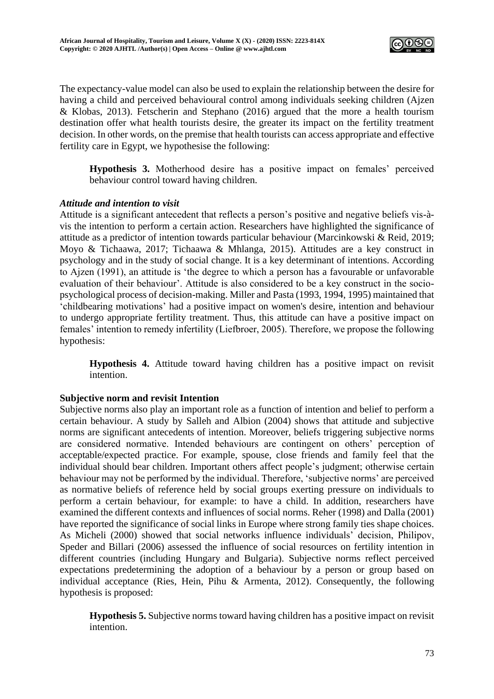

The expectancy-value model can also be used to explain the relationship between the desire for having a child and perceived behavioural control among individuals seeking children (Ajzen & Klobas, 2013). Fetscherin and Stephano (2016) argued that the more a health tourism destination offer what health tourists desire, the greater its impact on the fertility treatment decision. In other words, on the premise that health tourists can access appropriate and effective fertility care in Egypt, we hypothesise the following:

**Hypothesis 3.** Motherhood desire has a positive impact on females' perceived behaviour control toward having children.

## *Attitude and intention to visit*

Attitude is a significant antecedent that reflects a person's positive and negative beliefs vis-àvis the intention to perform a certain action. Researchers have highlighted the significance of attitude as a predictor of intention towards particular behaviour (Marcinkowski & Reid, 2019; Moyo & Tichaawa, 2017; Tichaawa & Mhlanga, 2015). Attitudes are a key construct in psychology and in the study of social change. It is a key determinant of intentions. According to Ajzen (1991), an attitude is 'the degree to which a person has a favourable or unfavorable evaluation of their behaviour'. Attitude is also considered to be a key construct in the sociopsychological process of decision-making. Miller and Pasta (1993, 1994, 1995) maintained that 'childbearing motivations' had a positive impact on women's desire, intention and behaviour to undergo appropriate fertility treatment. Thus, this attitude can have a positive impact on females' intention to remedy infertility (Liefbroer, 2005). Therefore, we propose the following hypothesis:

**Hypothesis 4.** Attitude toward having children has a positive impact on revisit intention.

## **Subjective norm and revisit Intention**

Subjective norms also play an important role as a function of intention and belief to perform a certain behaviour. A study by Salleh and Albion (2004) shows that attitude and subjective norms are significant antecedents of intention. Moreover, beliefs triggering subjective norms are considered normative. Intended behaviours are contingent on others' perception of acceptable/expected practice. For example, spouse, close friends and family feel that the individual should bear children. Important others affect people's judgment; otherwise certain behaviour may not be performed by the individual. Therefore, 'subjective norms' are perceived as normative beliefs of reference held by social groups exerting pressure on individuals to perform a certain behaviour, for example: to have a child. In addition, researchers have examined the different contexts and influences of social norms. Reher (1998) and Dalla (2001) have reported the significance of social links in Europe where strong family ties shape choices. As Micheli (2000) showed that social networks influence individuals' decision, Philipov, Speder and Billari (2006) assessed the influence of social resources on fertility intention in different countries (including Hungary and Bulgaria). Subjective norms reflect perceived expectations predetermining the adoption of a behaviour by a person or group based on individual acceptance (Ries, Hein, Pihu & Armenta, 2012). Consequently, the following hypothesis is proposed:

**Hypothesis 5.** Subjective norms toward having children has a positive impact on revisit intention.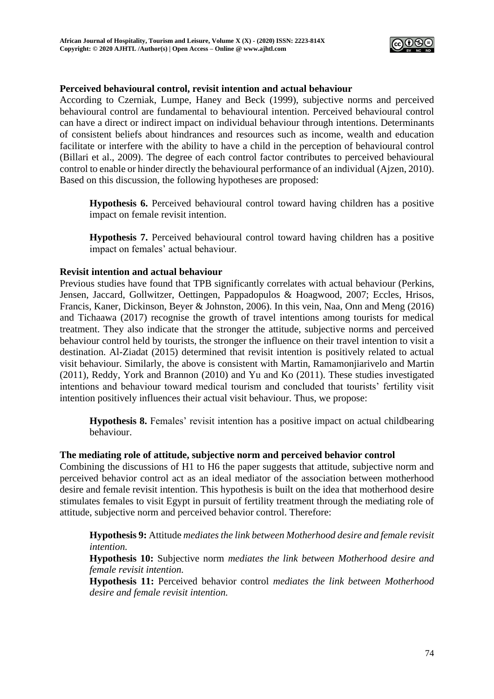

#### **Perceived behavioural control, revisit intention and actual behaviour**

According to Czerniak, Lumpe, Haney and Beck (1999), subjective norms and perceived behavioural control are fundamental to behavioural intention. Perceived behavioural control can have a direct or indirect impact on individual behaviour through intentions. Determinants of consistent beliefs about hindrances and resources such as income, wealth and education facilitate or interfere with the ability to have a child in the perception of behavioural control (Billari et al., 2009). The degree of each control factor contributes to perceived behavioural control to enable or hinder directly the behavioural performance of an individual (Ajzen, 2010). Based on this discussion, the following hypotheses are proposed:

**Hypothesis 6.** Perceived behavioural control toward having children has a positive impact on female revisit intention.

**Hypothesis 7.** Perceived behavioural control toward having children has a positive impact on females' actual behaviour.

#### **Revisit intention and actual behaviour**

Previous studies have found that TPB significantly correlates with actual behaviour (Perkins, Jensen, Jaccard, Gollwitzer, Oettingen, Pappadopulos & Hoagwood, 2007; Eccles, Hrisos, Francis, Kaner, Dickinson, Beyer & Johnston, 2006). In this vein, Naa, Onn and Meng (2016) and Tichaawa (2017) recognise the growth of travel intentions among tourists for medical treatment. They also indicate that the stronger the attitude, subjective norms and perceived behaviour control held by tourists, the stronger the influence on their travel intention to visit a destination. Al-Ziadat (2015) determined that revisit intention is positively related to actual visit behaviour. Similarly, the above is consistent with Martin, Ramamonjiarivelo and Martin (2011), Reddy, York and Brannon (2010) and Yu and Ko (2011). These studies investigated intentions and behaviour toward medical tourism and concluded that tourists' fertility visit intention positively influences their actual visit behaviour. Thus, we propose:

**Hypothesis 8.** Females' revisit intention has a positive impact on actual childbearing behaviour.

#### **The mediating role of attitude, subjective norm and perceived behavior control**

Combining the discussions of H1 to H6 the paper suggests that attitude, subjective norm and perceived behavior control act as an ideal mediator of the association between motherhood desire and female revisit intention. This hypothesis is built on the idea that motherhood desire stimulates females to visit Egypt in pursuit of fertility treatment through the mediating role of attitude, subjective norm and perceived behavior control. Therefore:

**Hypothesis 9:** Attitude *mediates the link between Motherhood desire and female revisit intention.*

**Hypothesis 10:** Subjective norm *mediates the link between Motherhood desire and female revisit intention.*

**Hypothesis 11:** Perceived behavior control *mediates the link between Motherhood desire and female revisit intention.*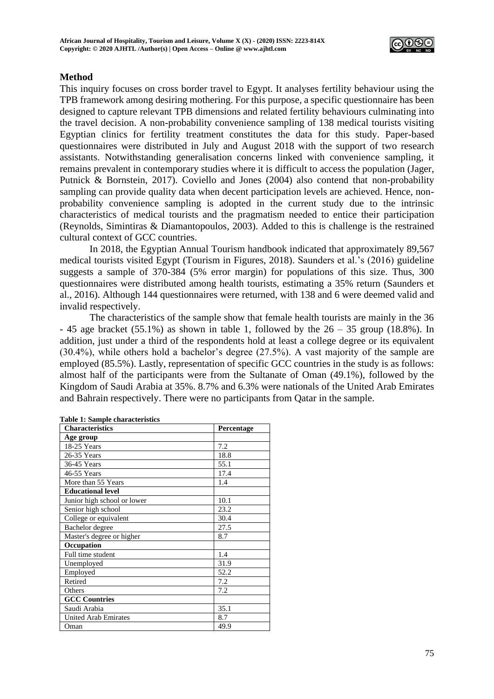

## **Method**

This inquiry focuses on cross border travel to Egypt. It analyses fertility behaviour using the TPB framework among desiring mothering. For this purpose, a specific questionnaire has been designed to capture relevant TPB dimensions and related fertility behaviours culminating into the travel decision. A non-probability convenience sampling of 138 medical tourists visiting Egyptian clinics for fertility treatment constitutes the data for this study. Paper-based questionnaires were distributed in July and August 2018 with the support of two research assistants. Notwithstanding generalisation concerns linked with convenience sampling, it remains prevalent in contemporary studies where it is difficult to access the population (Jager, Putnick & Bornstein, 2017). Coviello and Jones (2004) also contend that non-probability sampling can provide quality data when decent participation levels are achieved. Hence, nonprobability convenience sampling is adopted in the current study due to the intrinsic characteristics of medical tourists and the pragmatism needed to entice their participation (Reynolds, Simintiras & Diamantopoulos, 2003). Added to this is challenge is the restrained cultural context of GCC countries.

In 2018, the Egyptian Annual Tourism handbook indicated that approximately 89,567 medical tourists visited Egypt (Tourism in Figures, 2018). Saunders et al.'s (2016) guideline suggests a sample of 370-384 (5% error margin) for populations of this size. Thus, 300 questionnaires were distributed among health tourists, estimating a 35% return (Saunders et al., 2016). Although 144 questionnaires were returned, with 138 and 6 were deemed valid and invalid respectively.

The characteristics of the sample show that female health tourists are mainly in the 36  $- 45$  age bracket (55.1%) as shown in table 1, followed by the  $26 - 35$  group (18.8%). In addition, just under a third of therespondents hold atleast a college degree or its equivalent (30.4%), while others hold a bachelor's degree (27.5%). A vast majority of the sample are employed (85.5%). Lastly, representation of specific GCC countries in the study is as follows: almost half of the participants were from the Sultanate of Oman (49.1%), followed by the Kingdom of Saudi Arabia at 35%. 8.7% and 6.3% were nationals of the United Arab Emirates and Bahrain respectively. There were no participants from Qatar in the sample.

| <b>Characteristics</b>      | Percentage |
|-----------------------------|------------|
| Age group                   |            |
| 18-25 Years                 | 7.2        |
| 26-35 Years                 | 18.8       |
| 36-45 Years                 | 55.1       |
| 46-55 Years                 | 17.4       |
| More than 55 Years          | 1.4        |
| <b>Educational level</b>    |            |
| Junior high school or lower | 10.1       |
| Senior high school          | 23.2       |
| College or equivalent       | 30.4       |
| Bachelor degree             | 27.5       |
| Master's degree or higher   | 8.7        |
| Occupation                  |            |
| Full time student           | 1.4        |
| Unemployed                  | 31.9       |
| Employed                    | 52.2       |
| Retired                     | 7.2        |
| Others                      | 7.2        |
| <b>GCC Countries</b>        |            |
| Saudi Arabia                | 35.1       |
| <b>United Arab Emirates</b> | 8.7        |
| Oman                        | 49.9       |

|  | <b>Table 1: Sample characteristics</b> |
|--|----------------------------------------|
|  |                                        |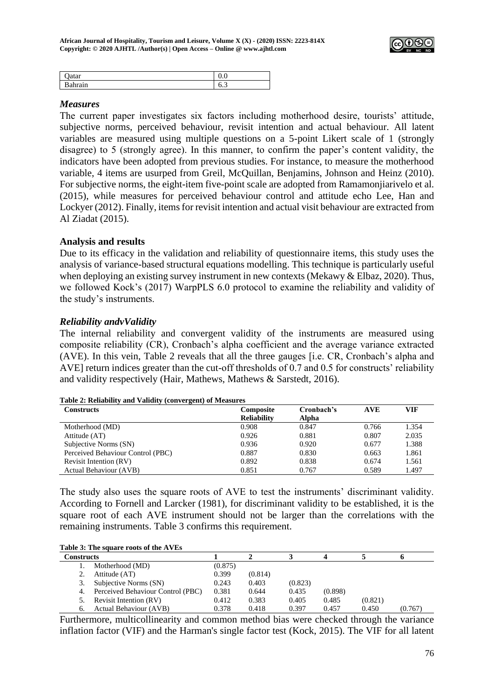

| uuu              | ິ   |
|------------------|-----|
| $-$<br><br>----- | ∪.J |

#### *Measures*

The current paper investigates six factors including motherhood desire, tourists' attitude, subjective norms, perceived behaviour, revisit intention and actual behaviour. All latent variables are measured using multiple questions on a 5-point Likert scale of 1 (strongly disagree) to 5 (strongly agree). In this manner, to confirm the paper's content validity, the indicators have been adopted from previous studies. For instance, to measure the motherhood variable, 4 items are usurped from Greil, McQuillan, Benjamins, Johnson and Heinz (2010). For subjective norms, the eight-item five-point scale are adopted from Ramamonjiarivelo et al. (2015), while measures for perceived behaviour control and attitude echo Lee, Han and Lockyer (2012). Finally, items for revisit intention and actual visit behaviour are extracted from Al Ziadat (2015).

## **Analysis and results**

Due to its efficacy in the validation and reliability of questionnaire items, this study uses the analysis of variance-based structural equations modelling. This technique is particularly useful when deploying an existing survey instrument in new contexts (Mekawy & Elbaz, 2020). Thus, we followed Kock's (2017) WarpPLS 6.0 protocol to examine the reliability and validity of the study's instruments.

## *Reliability andvValidity*

The internal reliability and convergent validity of the instruments are measured using composite reliability (CR), Cronbach's alpha coefficient and the average variance extracted (AVE). In this vein, Table 2 reveals that all the three gauges [i.e. CR, Cronbach's alpha and AVE] return indices greater than the cut-off thresholds of 0.7 and 0.5 for constructs' reliability and validity respectively (Hair, Mathews, Mathews & Sarstedt, 2016).

| <b>Constructs</b>                 | <b>Composite</b>   | Cronbach's | <b>AVE</b> | VIF   |
|-----------------------------------|--------------------|------------|------------|-------|
|                                   | <b>Reliability</b> | Alpha      |            |       |
| Motherhood (MD)                   | 0.908              | 0.847      | 0.766      | 1.354 |
| Attitude (AT)                     | 0.926              | 0.881      | 0.807      | 2.035 |
| Subjective Norms (SN)             | 0.936              | 0.920      | 0.677      | 1.388 |
| Perceived Behaviour Control (PBC) | 0.887              | 0.830      | 0.663      | 1.861 |
| Revisit Intention (RV)            | 0.892              | 0.838      | 0.674      | 1.561 |
| Actual Behaviour (AVB)            | 0.851              | 0.767      | 0.589      | 1.497 |

**Table 2: Reliability and Validity (convergent) of Measures**

The study also uses the square roots of AVE to test the instruments' discriminant validity. According to Fornell and Larcker (1981), for discriminant validity to be established, it is the square root of each AVE instrument should not be larger than the correlations with the remaining instruments. Table 3 confirms this requirement.

#### **Table 3: The square roots of the AVEs**

| Constructs |                                   |         |         |         |         |         |         |
|------------|-----------------------------------|---------|---------|---------|---------|---------|---------|
|            | Motherhood (MD)                   | (0.875) |         |         |         |         |         |
|            | Attitude (AT)                     | 0.399   | (0.814) |         |         |         |         |
|            | Subjective Norms (SN)             | 0.243   | 0.403   | (0.823) |         |         |         |
| 4.         | Perceived Behaviour Control (PBC) | 0.381   | 0.644   | 0.435   | (0.898) |         |         |
|            | Revisit Intention (RV)            | 0.412   | 0.383   | 0.405   | 0.485   | (0.821) |         |
| 6.         | <b>Actual Behaviour (AVB)</b>     | 0.378   | 0.418   | 0.397   | 0.457   | 0.450   | (0.767) |

Furthermore, multicollinearity and common method bias were checked through the variance inflation factor (VIF) and the Harman's single factor test (Kock, 2015). The VIF for all latent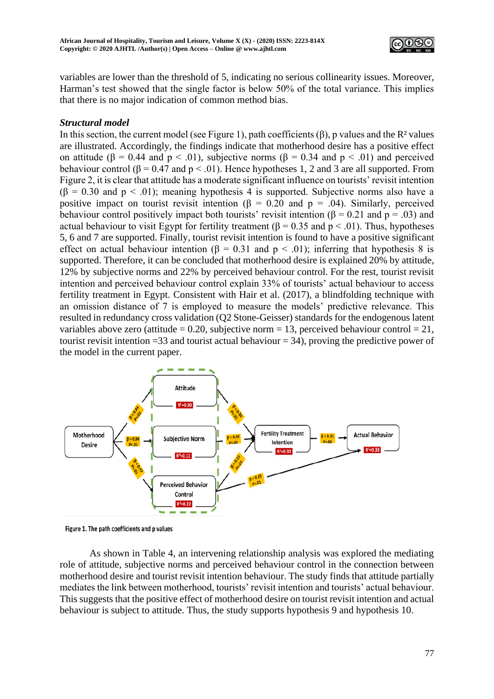

variables are lower than the threshold of 5, indicating no serious collinearity issues. Moreover, Harman's test showed that the single factor is below 50% of the total variance. This implies that there is no major indication of common method bias.

# *Structural model*

In this section, the current model (see Figure 1), path coefficients  $(\beta)$ , p values and the R<sup>2</sup> values are illustrated. Accordingly, the findings indicate that motherhood desire has a positive effect on attitude ( $\beta$  = 0.44 and  $p < .01$ ), subjective norms ( $\beta$  = 0.34 and  $p < .01$ ) and perceived behaviour control ( $\beta$  = 0.47 and  $p < .01$ ). Hence hypotheses 1, 2 and 3 are all supported. From Figure 2, it is clear that attitude has a moderate significant influence on tourists' revisit intention  $(\beta = 0.30$  and  $p < .01)$ ; meaning hypothesis 4 is supported. Subjective norms also have a positive impact on tourist revisit intention ( $\beta = 0.20$  and  $p = .04$ ). Similarly, perceived behaviour control positively impact both tourists' revisit intention ( $\beta$  = 0.21 and p = .03) and actual behaviour to visit Egypt for fertility treatment ( $\beta$  = 0.35 and p < .01). Thus, hypotheses 5, 6 and 7 are supported. Finally, tourist revisit intention is found to have a positive significant effect on actual behaviour intention ( $\beta = 0.31$  and  $p < .01$ ); inferring that hypothesis 8 is supported. Therefore, it can be concluded that motherhood desire is explained 20% by attitude, 12% by subjective norms and 22% by perceived behaviour control. For the rest, tourist revisit intention and perceived behaviour control explain 33% of tourists' actual behaviour to access fertility treatment in Egypt. Consistent with Hair et al. (2017), a blindfolding technique with an omission distance of 7 is employed to measure the models' predictive relevance. This resulted in redundancy cross validation (Q2 Stone-Geisser) standards for the endogenous latent variables above zero (attitude = 0.20, subjective norm = 13, perceived behaviour control = 21, tourist revisit intention  $=33$  and tourist actual behaviour  $= 34$ ), proving the predictive power of the model in the current paper.



Figure 1. The path coefficients and p values

As shown in Table 4, an intervening relationship analysis was explored the mediating role of attitude, subjective norms and perceived behaviour control in the connection between motherhood desire and tourist revisit intention behaviour. The study finds that attitude partially mediates the link between motherhood, tourists' revisit intention and tourists' actual behaviour. This suggests that the positive effect of motherhood desire on tourist revisit intention and actual behaviour is subject to attitude. Thus, the study supports hypothesis 9 and hypothesis 10.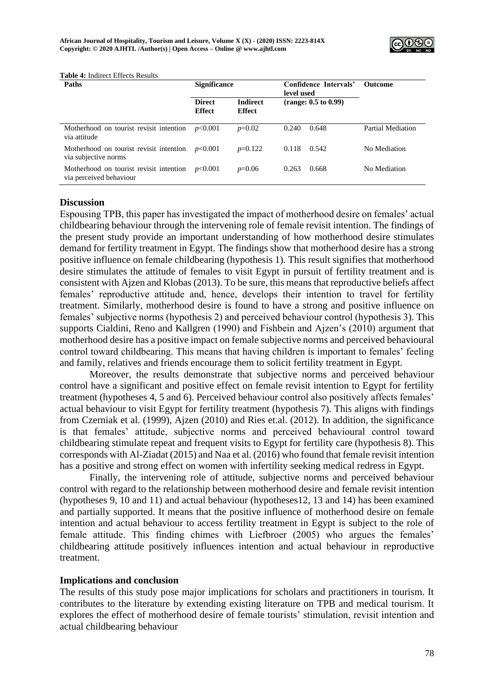

| <b>Paths</b>                                                              | <b>Significance</b>            |                                  | Confidence Intervals'<br>level used | <b>Outcome</b>    |
|---------------------------------------------------------------------------|--------------------------------|----------------------------------|-------------------------------------|-------------------|
|                                                                           | <b>Direct</b><br><b>Effect</b> | <b>Indirect</b><br><b>Effect</b> | (range: 0.5 to 0.99)                |                   |
| Motherhood on tourist revisit intention<br>via attitude                   | p<0.001                        | $p=0.02$                         | 0.240<br>0.648                      | Partial Mediation |
| Motherhood on tourist revisit intention $p<0.001$<br>via subjective norms |                                | $p=0.122$                        | 0.542<br>0.118                      | No Mediation      |
| Motherhood on tourist revisit intention<br>via perceived behaviour        | p<0.001                        | $p=0.06$                         | 0.263<br>0.668                      | No Mediation      |

#### **Table 4:** Indirect Effects Results

#### **Discussion**

Espousing TPB, this paper has investigated the impact of motherhood desire on females' actual childbearing behaviour through the intervening role of female revisit intention. The findings of the present study provide an important understanding of how motherhood desire stimulates demand for fertility treatment in Egypt. The findings show that motherhood desire has a strong positive influence on female childbearing (hypothesis 1). This result signifies that motherhood desire stimulates the attitude of females to visit Egypt in pursuit of fertility treatment and is consistent with Ajzen and Klobas (2013). To be sure, this means that reproductive beliefs affect females' reproductive attitude and, hence, develops their intention to travel for fertility treatment. Similarly, motherhood desire is found to have a strong and positive influence on females' subjective norms (hypothesis 2) and perceived behaviour control (hypothesis 3). This supports Cialdini, Reno and Kallgren (1990) and Fishbein and Ajzen's (2010) argument that motherhood desire has a positive impact on female subjective norms and perceived behavioural control toward childbearing. This means that having children is important to females' feeling and family, relatives and friends encourage them to solicit fertility treatment in Egypt.

Moreover, the results demonstrate that subjective norms and perceived behaviour control have a significant and positive effect on female revisit intention to Egypt for fertility treatment (hypotheses 4, 5 and 6). Perceived behaviour control also positively affects females' actual behaviour to visit Egypt for fertility treatment (hypothesis 7). This aligns with findings from Czerniak et al. (1999), Ajzen (2010) and Ries et.al. (2012). In addition, the significance is that females' attitude, subjective norms and perceived behavioural control toward childbearing stimulate repeat and frequent visits to Egypt for fertility care (hypothesis 8). This corresponds with Al-Ziadat (2015) and Naa et al. (2016) who found that female revisit intention has a positive and strong effect on women with infertility seeking medical redress in Egypt.

Finally, the intervening role of attitude, subjective norms and perceived behaviour control with regard to the relationship between motherhood desire and female revisit intention (hypotheses 9, 10 and 11) and actual behaviour (hypotheses12, 13 and 14) has been examined and partially supported. It means that the positive influence of motherhood desire on female intention and actual behaviour to access fertility treatment in Egypt is subject to the role of female attitude. This finding chimes with Liefbroer (2005) who argues the females' childbearing attitude positively influences intention and actual behaviour in reproductive treatment.

#### **Implications and conclusion**

The results of this study pose major implications for scholars and practitioners in tourism. It contributes to the literature by extending existing literature on TPB and medical tourism. It explores the effect of motherhood desire of female tourists' stimulation, revisit intention and actual childbearing behaviour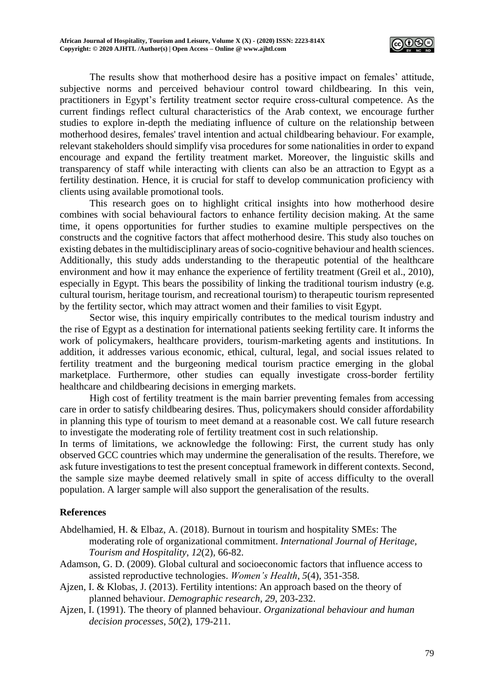

The results show that motherhood desire has a positive impact on females' attitude, subjective norms and perceived behaviour control toward childbearing. In this vein, practitioners in Egypt's fertility treatment sector require cross-cultural competence. As the current findings reflect cultural characteristics of the Arab context, we encourage further studies to explore in-depth the mediating influence of culture on the relationship between motherhood desires, females' travel intention and actual childbearing behaviour. For example, relevant stakeholders should simplify visa procedures for some nationalities in order to expand encourage and expand the fertility treatment market. Moreover, the linguistic skills and transparency of staff while interacting with clients can also be an attraction to Egypt as a fertility destination. Hence, it is crucial for staff to develop communication proficiency with clients using available promotional tools.

This research goes on to highlight critical insights into how motherhood desire combines with social behavioural factors to enhance fertility decision making. At the same time, it opens opportunities for further studies to examine multiple perspectives on the constructs and the cognitive factors that affect motherhood desire. This study also touches on existing debates in the multidisciplinary areas of socio-cognitive behaviour and health sciences. Additionally, this study adds understanding to the therapeutic potential of the healthcare environment and how it may enhance the experience of fertility treatment (Greil et al., 2010), especially in Egypt. This bears the possibility of linking the traditional tourism industry (e.g. cultural tourism, heritage tourism, and recreational tourism) to therapeutic tourism represented by the fertility sector, which may attract women and their families to visit Egypt.

Sector wise, this inquiry empirically contributes to the medical tourism industry and the rise of Egypt as a destination for international patients seeking fertility care. It informs the work of policymakers, healthcare providers, tourism-marketing agents and institutions. In addition, it addresses various economic, ethical, cultural, legal, and social issues related to fertility treatment and the burgeoning medical tourism practice emerging in the global marketplace. Furthermore, other studies can equally investigate cross-border fertility healthcare and childbearing decisions in emerging markets.

High cost of fertility treatment is the main barrier preventing females from accessing care in order to satisfy childbearing desires. Thus, policymakers should consider affordability in planning this type of tourism to meet demand at a reasonable cost. We call future research to investigate the moderating role of fertility treatment cost in such relationship.

In terms of limitations, we acknowledge the following: First, the current study has only observed GCC countries which may undermine the generalisation of the results. Therefore, we ask future investigations to test the present conceptual framework in different contexts. Second, the sample size maybe deemed relatively small in spite of access difficulty to the overall population. A larger sample will also support the generalisation of the results.

## **References**

- Abdelhamied, H. & Elbaz, A. (2018). Burnout in tourism and hospitality SMEs: The moderating role of organizational commitment. *International Journal of Heritage, Tourism and Hospitality*, *12*(2), 66-82.
- Adamson, G. D. (2009). Global cultural and socioeconomic factors that influence access to assisted reproductive technologies. *Women's Health*, *5*(4), 351-358.
- Ajzen, I. & Klobas, J. (2013). Fertility intentions: An approach based on the theory of planned behaviour. *Demographic research*, *29*, 203-232.
- Ajzen, I. (1991). The theory of planned behaviour. *Organizational behaviour and human decision processes*, *50*(2), 179-211.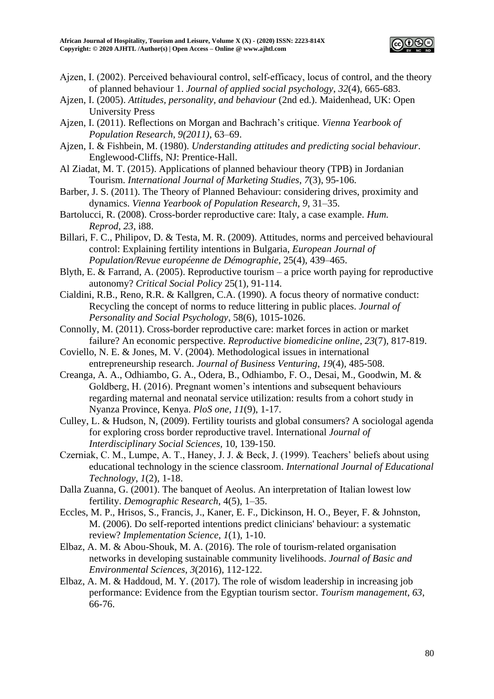

- Ajzen, I. (2002). Perceived behavioural control, self-efficacy, locus of control, and the theory of planned behaviour 1. *Journal of applied social psychology*, *32*(4), 665-683.
- Ajzen, I. (2005). *Attitudes, personality, and behaviour* (2nd ed.). Maidenhead, UK: Open University Press
- Ajzen, I. (2011). Reflections on Morgan and Bachrach's critique. *Vienna Yearbook of Population Research*, *9(2011)*, 63–69.
- Ajzen, I. & Fishbein, M. (1980). *Understanding attitudes and predicting social behaviour*. Englewood-Cliffs, NJ: Prentice-Hall.
- Al Ziadat, M. T. (2015). Applications of planned behaviour theory (TPB) in Jordanian Tourism. *International Journal of Marketing Studies*, *7*(3), 95-106.
- Barber, J. S. (2011). The Theory of Planned Behaviour: considering drives, proximity and dynamics. *Vienna Yearbook of Population Research*, *9*, 31–35.
- Bartolucci, R. (2008). Cross-border reproductive care: Italy, a case example. *Hum. Reprod*, *23*, i88.
- Billari, F. C., Philipov, D. & Testa, M. R. (2009). Attitudes, norms and perceived behavioural control: Explaining fertility intentions in Bulgaria, *European Journal of Population/Revue européenne de Démographie*, 25(4), 439–465.
- Blyth, E. & Farrand, A. (2005). Reproductive tourism a price worth paying for reproductive autonomy? *Critical Social Policy* 25(1), 91-114.
- Cialdini, R.B., Reno, R.R. & Kallgren, C.A. (1990). A focus theory of normative conduct: Recycling the concept of norms to reduce littering in public places. *Journal of Personality and Social Psychology*, 58(6), 1015-1026.
- Connolly, M. (2011). Cross-border reproductive care: market forces in action or market failure? An economic perspective. *Reproductive biomedicine online*, *23*(7), 817-819.
- Coviello, N. E. & Jones, M. V. (2004). Methodological issues in international entrepreneurship research. *Journal of Business Venturing*, *19*(4), 485-508.
- Creanga, A. A., Odhiambo, G. A., Odera, B., Odhiambo, F. O., Desai, M., Goodwin, M. & Goldberg, H. (2016). Pregnant women's intentions and subsequent behaviours regarding maternal and neonatal service utilization: results from a cohort study in Nyanza Province, Kenya. *PloS one*, *11*(9), 1-17.
- Culley, L. & Hudson, N, (2009). Fertility tourists and global consumers? A sociologal agenda for exploring cross border reproductive travel. International *Journal of Interdisciplinary Social Sciences,* 10, 139-150.
- Czerniak, C. M., Lumpe, A. T., Haney, J. J. & Beck, J. (1999). Teachers' beliefs about using educational technology in the science classroom. *International Journal of Educational Technology*, *1*(2), 1-18.
- Dalla Zuanna, G. (2001). The banquet of Aeolus. An interpretation of Italian lowest low fertility. *Demographic Research*, 4(5), 1–35.
- Eccles, M. P., Hrisos, S., Francis, J., Kaner, E. F., Dickinson, H. O., Beyer, F. & Johnston, M. (2006). Do self-reported intentions predict clinicians' behaviour: a systematic review? *Implementation Science*, *1*(1), 1-10.
- Elbaz, A. M. & Abou-Shouk, M. A. (2016). The role of tourism-related organisation networks in developing sustainable community livelihoods. *Journal of Basic and Environmental Sciences*, *3*(2016), 112-122.
- Elbaz, A. M. & Haddoud, M. Y. (2017). The role of wisdom leadership in increasing job performance: Evidence from the Egyptian tourism sector. *Tourism management*, *63*, 66-76.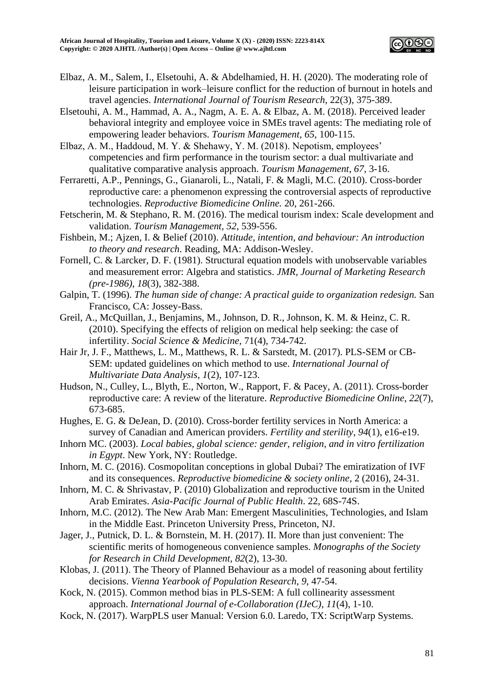

- Elbaz, A. M., Salem, I., Elsetouhi, A. & Abdelhamied, H. H. (2020). The moderating role of leisure participation in work–leisure conflict for the reduction of burnout in hotels and travel agencies. *International Journal of Tourism Research*, 22(3), 375-389.
- Elsetouhi, A. M., Hammad, A. A., Nagm, A. E. A. & Elbaz, A. M. (2018). Perceived leader behavioral integrity and employee voice in SMEs travel agents: The mediating role of empowering leader behaviors. *Tourism Management*, *65*, 100-115.
- Elbaz, A. M., Haddoud, M. Y. & Shehawy, Y. M. (2018). Nepotism, employees' competencies and firm performance in the tourism sector: a dual multivariate and qualitative comparative analysis approach. *Tourism Management*, *67*, 3-16.
- Ferraretti, A.P., Pennings, G., Gianaroli, L., Natali, F. & Magli, M.C. (2010). Cross-border reproductive care: a phenomenon expressing the controversial aspects of reproductive technologies. *Reproductive Biomedicine Online.* 20, 261-266.
- Fetscherin, M. & Stephano, R. M. (2016). The medical tourism index: Scale development and validation. *Tourism Management*, *52*, 539-556.
- Fishbein, M.; Ajzen, I. & Belief (2010). *Attitude, intention, and behaviour: An introduction to theory and research*. Reading, MA: Addison-Wesley.
- Fornell, C. & Larcker, D. F. (1981). Structural equation models with unobservable variables and measurement error: Algebra and statistics. *JMR, Journal of Marketing Research (pre-1986)*, *18*(3), 382-388.
- Galpin, T. (1996). *The human side of change: A practical guide to organization redesign.* San Francisco, CA: Jossey-Bass.
- Greil, A., McQuillan, J., Benjamins, M., Johnson, D. R., Johnson, K. M. & Heinz, C. R. (2010). Specifying the effects of religion on medical help seeking: the case of infertility. *Social Science & Medicine,* 71(4), 734-742.
- Hair Jr, J. F., Matthews, L. M., Matthews, R. L. & Sarstedt, M. (2017). PLS-SEM or CB-SEM: updated guidelines on which method to use. *International Journal of Multivariate Data Analysis*, *1*(2), 107-123.
- Hudson, N., Culley, L., Blyth, E., Norton, W., Rapport, F. & Pacey, A. (2011). Cross-border reproductive care: A review of the literature. *Reproductive Biomedicine Online*, *22*(7), 673-685.
- Hughes, E. G. & DeJean, D. (2010). Cross-border fertility services in North America: a survey of Canadian and American providers. *Fertility and sterility*, *94*(1), e16-e19.
- Inhorn MC. (2003). *Local babies, global science: gender, religion, and in vitro fertilization in Egypt*. New York, NY: Routledge.
- Inhorn, M. C. (2016). Cosmopolitan conceptions in global Dubai? The emiratization of IVF and its consequences. *Reproductive biomedicine & society online*, 2 (2016), 24-31.
- Inhorn, M. C. & Shrivastav, P. (2010) Globalization and reproductive tourism in the United Arab Emirates. *Asia-Pacific Journal of Public Health*. 22, 68S-74S.
- Inhorn, M.C. (2012). The New Arab Man: Emergent Masculinities, Technologies, and Islam in the Middle East. Princeton University Press, Princeton, NJ.
- Jager, J., Putnick, D. L. & Bornstein, M. H. (2017). II. More than just convenient: The scientific merits of homogeneous convenience samples. *Monographs of the Society for Research in Child Development*, *82*(2), 13-30.
- Klobas, J. (2011). The Theory of Planned Behaviour as a model of reasoning about fertility decisions. *Vienna Yearbook of Population Research*, *9*, 47-54.
- Kock, N. (2015). Common method bias in PLS-SEM: A full collinearity assessment approach. *International Journal of e-Collaboration (IJeC)*, *11*(4), 1-10.
- Kock, N. (2017). WarpPLS user Manual: Version 6.0. Laredo, TX: ScriptWarp Systems.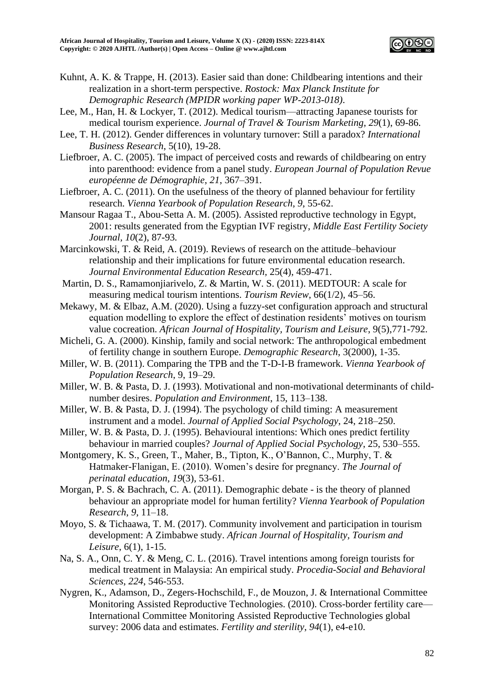

- Kuhnt, A. K. & Trappe, H. (2013). Easier said than done: Childbearing intentions and their realization in a short-term perspective. *Rostock: Max Planck Institute for Demographic Research (MPIDR working paper WP-2013-018)*.
- Lee, M., Han, H. & Lockyer, T. (2012). Medical tourism—attracting Japanese tourists for medical tourism experience. *Journal of Travel & Tourism Marketing*, *29*(1), 69-86.
- Lee, T. H. (2012). Gender differences in voluntary turnover: Still a paradox? *International Business Research*, 5(10), 19-28.
- Liefbroer, A. C. (2005). The impact of perceived costs and rewards of childbearing on entry into parenthood: evidence from a panel study. *European Journal of Population Revue européenne de Démographie*, *21*, 367–391.
- Liefbroer, A. C. (2011). On the usefulness of the theory of planned behaviour for fertility research. *Vienna Yearbook of Population Research*, *9*, 55-62.
- Mansour Ragaa T., Abou-Setta A. M. (2005). Assisted reproductive technology in Egypt, 2001: results generated from the Egyptian IVF registry, *Middle East Fertility Society Journal, 10*(2), 87-93*.*
- Marcinkowski, T. & Reid, A. (2019). Reviews of research on the attitude–behaviour relationship and their implications for future environmental education research. *Journal [Environmental Education Research,](https://www.tandfonline.com/toc/ceer20/current)* 25(4), 459-471.
- Martin, D. S., Ramamonjiarivelo, Z. & Martin, W. S. (2011). MEDTOUR: A scale for measuring medical tourism intentions. *Tourism Review*, 66(1/2), 45–56.
- Mekawy, M. & Elbaz, A.M. (2020). Using a fuzzy-set configuration approach and structural equation modelling to explore the effect of destination residents' motives on tourism value cocreation. *African Journal of Hospitality, Tourism and Leisure*, 9(5),771-792.
- Micheli, G. A. (2000). Kinship, family and social network: The anthropological embedment of fertility change in southern Europe. *Demographic Research*, 3(2000), 1-35.
- Miller, W. B. (2011). Comparing the TPB and the T-D-I-B framework. *Vienna Yearbook of Population Research*, 9, 19–29.
- Miller, W. B. & Pasta, D. J. (1993). Motivational and non-motivational determinants of childnumber desires. *Population and Environment*, 15, 113–138.
- Miller, W. B. & Pasta, D. J. (1994). The psychology of child timing: A measurement instrument and a model. *Journal of Applied Social Psychology*, 24, 218–250.
- Miller, W. B. & Pasta, D. J. (1995). Behavioural intentions: Which ones predict fertility behaviour in married couples? *Journal of Applied Social Psychology*, 25, 530–555.
- Montgomery, K. S., Green, T., Maher, B., Tipton, K., O'Bannon, C., Murphy, T. & Hatmaker-Flanigan, E. (2010). Women's desire for pregnancy. *The Journal of perinatal education*, *19*(3), 53-61.
- Morgan, P. S. & Bachrach, C. A. (2011). Demographic debate is the theory of planned behaviour an appropriate model for human fertility? *Vienna Yearbook of Population Research*, *9*, 11–18.
- Moyo, S. & Tichaawa, T. M. (2017). Community involvement and participation in tourism development: A Zimbabwe study. *African Journal of Hospitality, Tourism and Leisure*, 6(1), 1-15.
- Na, S. A., Onn, C. Y. & Meng, C. L. (2016). Travel intentions among foreign tourists for medical treatment in Malaysia: An empirical study. *Procedia-Social and Behavioral Sciences*, *224*, 546-553.
- Nygren, K., Adamson, D., Zegers-Hochschild, F., de Mouzon, J. & International Committee Monitoring Assisted Reproductive Technologies. (2010). Cross-border fertility care— International Committee Monitoring Assisted Reproductive Technologies global survey: 2006 data and estimates. *Fertility and sterility*, *94*(1), e4-e10.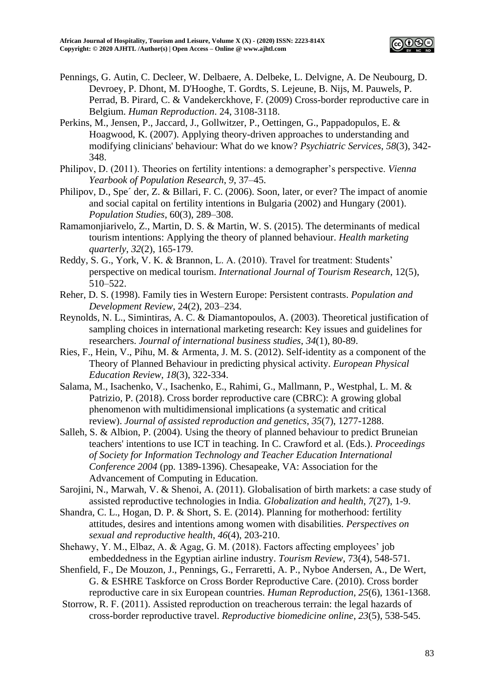

- Pennings, G. Autin, C. Decleer, W. Delbaere, A. Delbeke, L. Delvigne, A. De Neubourg, D. Devroey, P. Dhont, M. D'Hooghe, T. Gordts, S. Lejeune, B. Nijs, M. Pauwels, P. Perrad, B. Pirard, C. & Vandekerckhove, F. (2009) Cross-border reproductive care in Belgium. *Human Reproduction*. 24, 3108-3118.
- Perkins, M., Jensen, P., Jaccard, J., Gollwitzer, P., Oettingen, G., Pappadopulos, E. & Hoagwood, K. (2007). Applying theory-driven approaches to understanding and modifying clinicians' behaviour: What do we know? *Psychiatric Services*, *58*(3), 342- 348.
- Philipov, D. (2011). Theories on fertility intentions: a demographer's perspective. *Vienna Yearbook of Population Research*, *9*, 37–45.
- Philipov, D., Spe´ der, Z. & Billari, F. C. (2006). Soon, later, or ever? The impact of anomie and social capital on fertility intentions in Bulgaria (2002) and Hungary (2001). *Population Studies*, 60(3), 289–308.
- Ramamonjiarivelo, Z., Martin, D. S. & Martin, W. S. (2015). The determinants of medical tourism intentions: Applying the theory of planned behaviour. *Health marketing quarterly*, *32*(2), 165-179.
- Reddy, S. G., York, V. K. & Brannon, L. A. (2010). Travel for treatment: Students' perspective on medical tourism. *International Journal of Tourism Research*, 12(5), 510–522.
- Reher, D. S. (1998). Family ties in Western Europe: Persistent contrasts. *Population and Development Review*, 24(2), 203–234.
- Reynolds, N. L., Simintiras, A. C. & Diamantopoulos, A. (2003). Theoretical justification of sampling choices in international marketing research: Key issues and guidelines for researchers. *Journal of international business studies*, *34*(1), 80-89.
- Ries, F., Hein, V., Pihu, M. & Armenta, J. M. S. (2012). Self-identity as a component of the Theory of Planned Behaviour in predicting physical activity. *European Physical Education Review*, *18*(3), 322-334.
- Salama, M., Isachenko, V., Isachenko, E., Rahimi, G., Mallmann, P., Westphal, L. M. & Patrizio, P. (2018). Cross border reproductive care (CBRC): A growing global phenomenon with multidimensional implications (a systematic and critical review). *Journal of assisted reproduction and genetics*, *35*(7), 1277-1288.
- Salleh, S. & Albion, P. (2004). Using the theory of planned behaviour to predict Bruneian teachers' intentions to use ICT in teaching. In C. Crawford et al. (Eds.). *Proceedings of Society for Information Technology and Teacher Education International Conference 2004* (pp. 1389-1396). Chesapeake, VA: Association for the Advancement of Computing in Education.
- Sarojini, N., Marwah, V. & Shenoi, A. (2011). Globalisation of birth markets: a case study of assisted reproductive technologies in India. *Globalization and health*, *7*(27), 1-9.
- Shandra, C. L., Hogan, D. P. & Short, S. E. (2014). Planning for motherhood: fertility attitudes, desires and intentions among women with disabilities. *Perspectives on sexual and reproductive health*, *46*(4), 203-210.
- Shehawy, Y. M., Elbaz, A. & Agag, G. M. (2018). Factors affecting employees' job embeddedness in the Egyptian airline industry. *Tourism Review*, 73(4), 548-571.
- Shenfield, F., De Mouzon, J., Pennings, G., Ferraretti, A. P., Nyboe Andersen, A., De Wert, G. & ESHRE Taskforce on Cross Border Reproductive Care. (2010). Cross border reproductive care in six European countries. *Human Reproduction*, *25*(6), 1361-1368.
- Storrow, R. F. (2011). Assisted reproduction on treacherous terrain: the legal hazards of cross-border reproductive travel. *Reproductive biomedicine online*, *23*(5), 538-545.